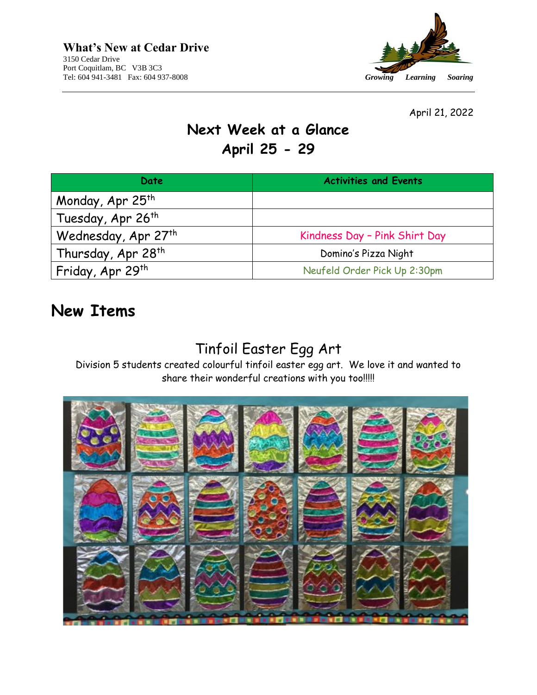

April 21, 2022

# **Next Week at a Glance April 25 - 29**

| Date                            | <b>Activities and Events</b>  |
|---------------------------------|-------------------------------|
| Monday, Apr 25 <sup>th</sup>    |                               |
| Tuesday, Apr 26 <sup>th</sup>   |                               |
| Wednesday, Apr 27 <sup>th</sup> | Kindness Day - Pink Shirt Day |
| Thursday, Apr 28 <sup>th</sup>  | Domino's Pizza Night          |
| Friday, Apr 29 <sup>th</sup>    | Neufeld Order Pick Up 2:30pm  |

### **New Items**

### Tinfoil Easter Egg Art

Division 5 students created colourful tinfoil easter egg art. We love it and wanted to share their wonderful creations with you too!!!!!

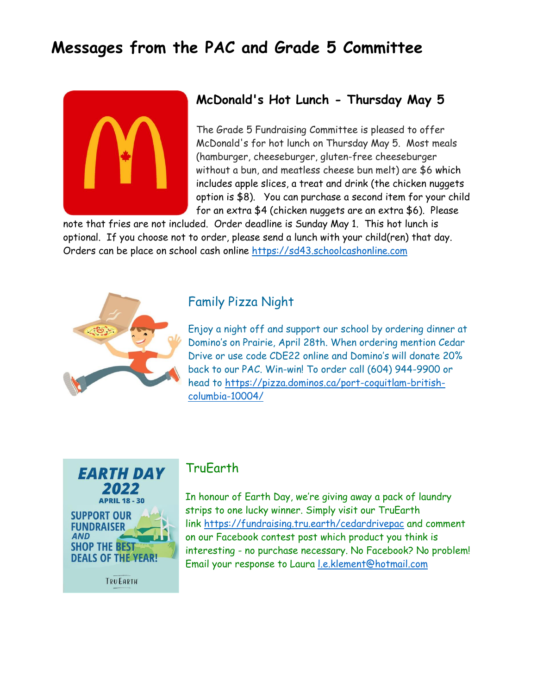## **Messages from the PAC and Grade 5 Committee**



#### **McDonald's Hot Lunch - Thursday May 5**

The Grade 5 Fundraising Committee is pleased to offer McDonald's for hot lunch on Thursday May 5. Most meals (hamburger, cheeseburger, gluten-free cheeseburger without a bun, and meatless cheese bun melt) are \$6 which includes apple slices, a treat and drink (the chicken nuggets option is \$8). You can purchase a second item for your child for an extra \$4 (chicken nuggets are an extra \$6). Please

note that fries are not included. Order deadline is Sunday May 1. This hot lunch is optional. If you choose not to order, please send a lunch with your child(ren) that day. Orders can be place on school cash online [https://sd43.schoolcashonline.com](https://sd43.schoolcashonline.com/)



#### Family Pizza Night

Enjoy a night off and support our school by ordering dinner at Domino's on Prairie, April 28th. When ordering mention Cedar Drive or use code CDE22 online and Domino's will donate 20% back to our PAC. Win-win! To order call (604) 944-9900 or head to [https://pizza.dominos.ca/port-coquitlam-british](https://pizza.dominos.ca/port-coquitlam-british-columbia-10004/)[columbia-10004/](https://pizza.dominos.ca/port-coquitlam-british-columbia-10004/)

**EARTH DAY APRIL 18 - 30 SUPPORT OUR FUNDRAISER AND SHOP THE BEST DEALS OF THE YEAR!** 

#### TruEarth

In honour of Earth Day, we're giving away a pack of laundry strips to one lucky winner. Simply visit our TruEarth link <https://fundraising.tru.earth/cedardrivepac> and comment on our Facebook contest post which product you think is interesting - no purchase necessary. No Facebook? No problem! Email your response to Laura [l.e.klement@hotmail.com](mailto:l.e.klement@hotmail.com)

**TRUEARTH**